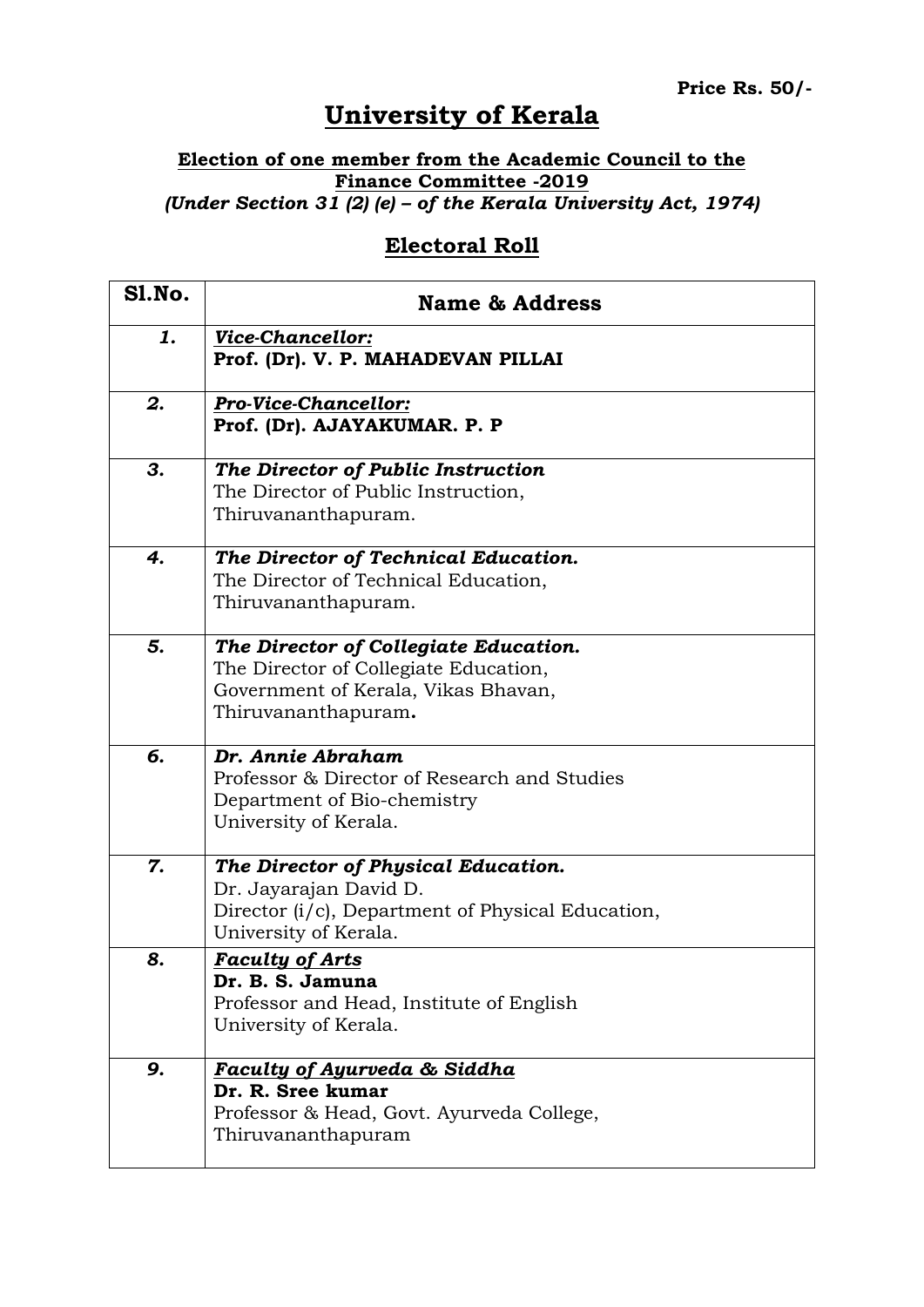## **University of Kerala**

## **Election of one member from the Academic Council to the Finance Committee -2019** *(Under Section 31 (2) (e) – of the Kerala University Act, 1974)*

## **Electoral Roll**

| <b>S1.No.</b> | <b>Name &amp; Address</b>                                                                                                                    |
|---------------|----------------------------------------------------------------------------------------------------------------------------------------------|
| 1.            | <b>Vice-Chancellor:</b><br>Prof. (Dr). V. P. MAHADEVAN PILLAI                                                                                |
| 2.            | <b>Pro-Vice-Chancellor:</b><br>Prof. (Dr). AJAYAKUMAR. P. P                                                                                  |
| 3.            | The Director of Public Instruction<br>The Director of Public Instruction,<br>Thiruvananthapuram.                                             |
| 4.            | The Director of Technical Education.<br>The Director of Technical Education,<br>Thiruvananthapuram.                                          |
| 5.            | The Director of Collegiate Education.<br>The Director of Collegiate Education,<br>Government of Kerala, Vikas Bhavan,<br>Thiruvananthapuram. |
| б.            | Dr. Annie Abraham<br>Professor & Director of Research and Studies<br>Department of Bio-chemistry<br>University of Kerala.                    |
| 7.            | The Director of Physical Education.<br>Dr. Jayarajan David D.<br>Director (i/c), Department of Physical Education,<br>University of Kerala.  |
| 8.            | <b>Faculty of Arts</b><br>Dr. B. S. Jamuna<br>Professor and Head, Institute of English<br>University of Kerala.                              |
| 9.            | <b>Faculty of Ayurveda &amp; Siddha</b><br>Dr. R. Sree kumar<br>Professor & Head, Govt. Ayurveda College,<br>Thiruvananthapuram              |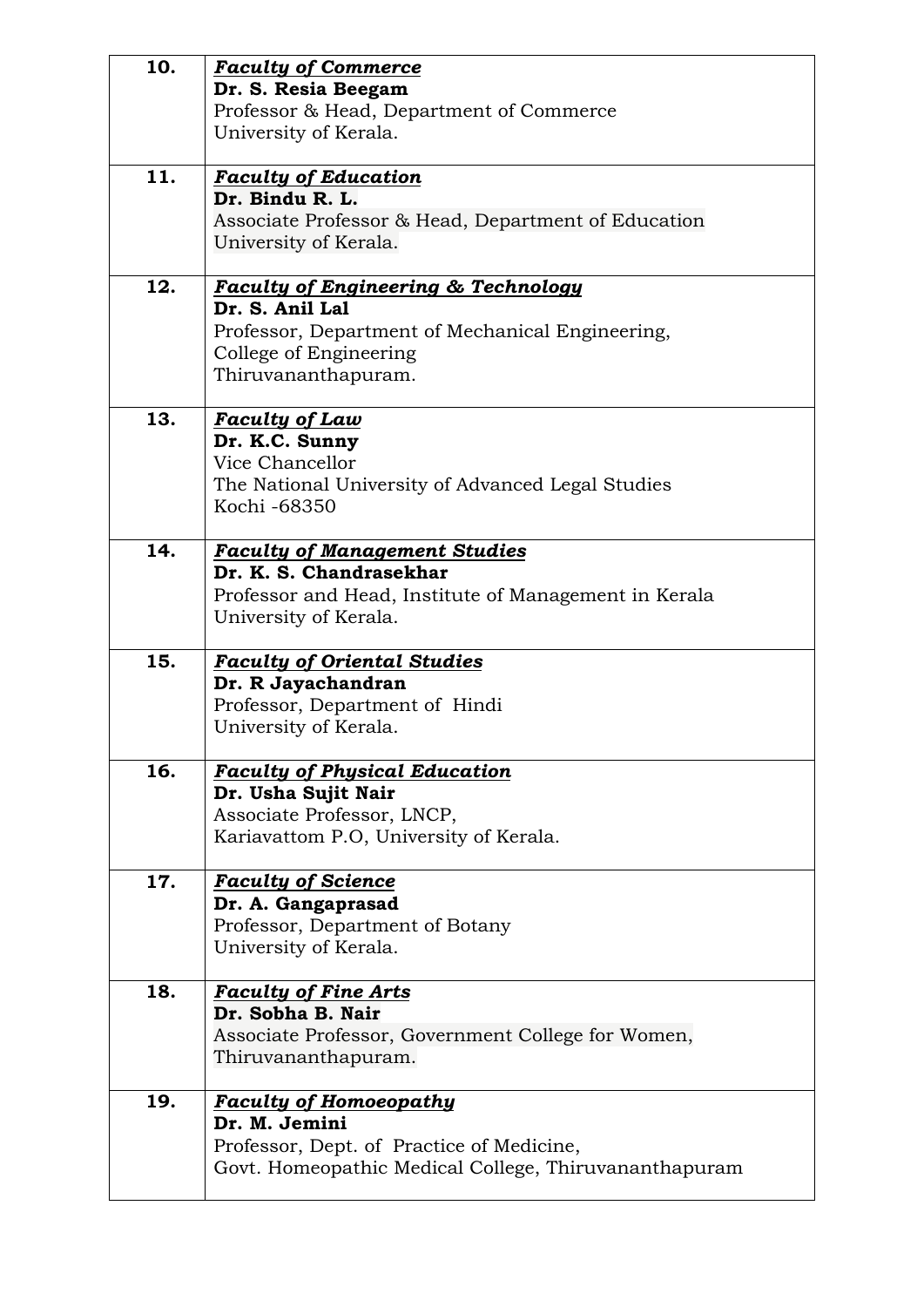| 10. | <b>Faculty of Commerce</b>                                        |
|-----|-------------------------------------------------------------------|
|     | Dr. S. Resia Beegam                                               |
|     | Professor & Head, Department of Commerce                          |
|     | University of Kerala.                                             |
|     |                                                                   |
| 11. | <b>Faculty of Education</b>                                       |
|     | Dr. Bindu R. L.                                                   |
|     | Associate Professor & Head, Department of Education               |
|     | University of Kerala.                                             |
|     |                                                                   |
| 12. | <b>Faculty of Engineering &amp; Technology</b><br>Dr. S. Anil Lal |
|     |                                                                   |
|     | Professor, Department of Mechanical Engineering,                  |
|     | College of Engineering                                            |
|     | Thiruvananthapuram.                                               |
| 13. | <b>Faculty of Law</b>                                             |
|     | Dr. K.C. Sunny                                                    |
|     | Vice Chancellor                                                   |
|     | The National University of Advanced Legal Studies                 |
|     | Kochi -68350                                                      |
|     |                                                                   |
| 14. | <b>Faculty of Management Studies</b>                              |
|     | Dr. K. S. Chandrasekhar                                           |
|     | Professor and Head, Institute of Management in Kerala             |
|     | University of Kerala.                                             |
| 15. | <b>Faculty of Oriental Studies</b>                                |
|     | Dr. R Jayachandran                                                |
|     | Professor, Department of Hindi                                    |
|     | University of Kerala.                                             |
|     |                                                                   |
| 16. | <b>Faculty of Physical Education</b>                              |
|     | Dr. Usha Sujit Nair                                               |
|     | Associate Professor, LNCP,                                        |
|     | Kariavattom P.O, University of Kerala.                            |
|     |                                                                   |
| 17. | <b>Faculty of Science</b>                                         |
|     | Dr. A. Gangaprasad                                                |
|     | Professor, Department of Botany                                   |
|     | University of Kerala.                                             |
| 18. | <b>Faculty of Fine Arts</b>                                       |
|     | Dr. Sobha B. Nair                                                 |
|     | Associate Professor, Government College for Women,                |
|     | Thiruvananthapuram.                                               |
|     |                                                                   |
| 19. | <b>Faculty of Homoeopathy</b>                                     |
|     | Dr. M. Jemini                                                     |
|     | Professor, Dept. of Practice of Medicine,                         |
|     | Govt. Homeopathic Medical College, Thiruvananthapuram             |
|     |                                                                   |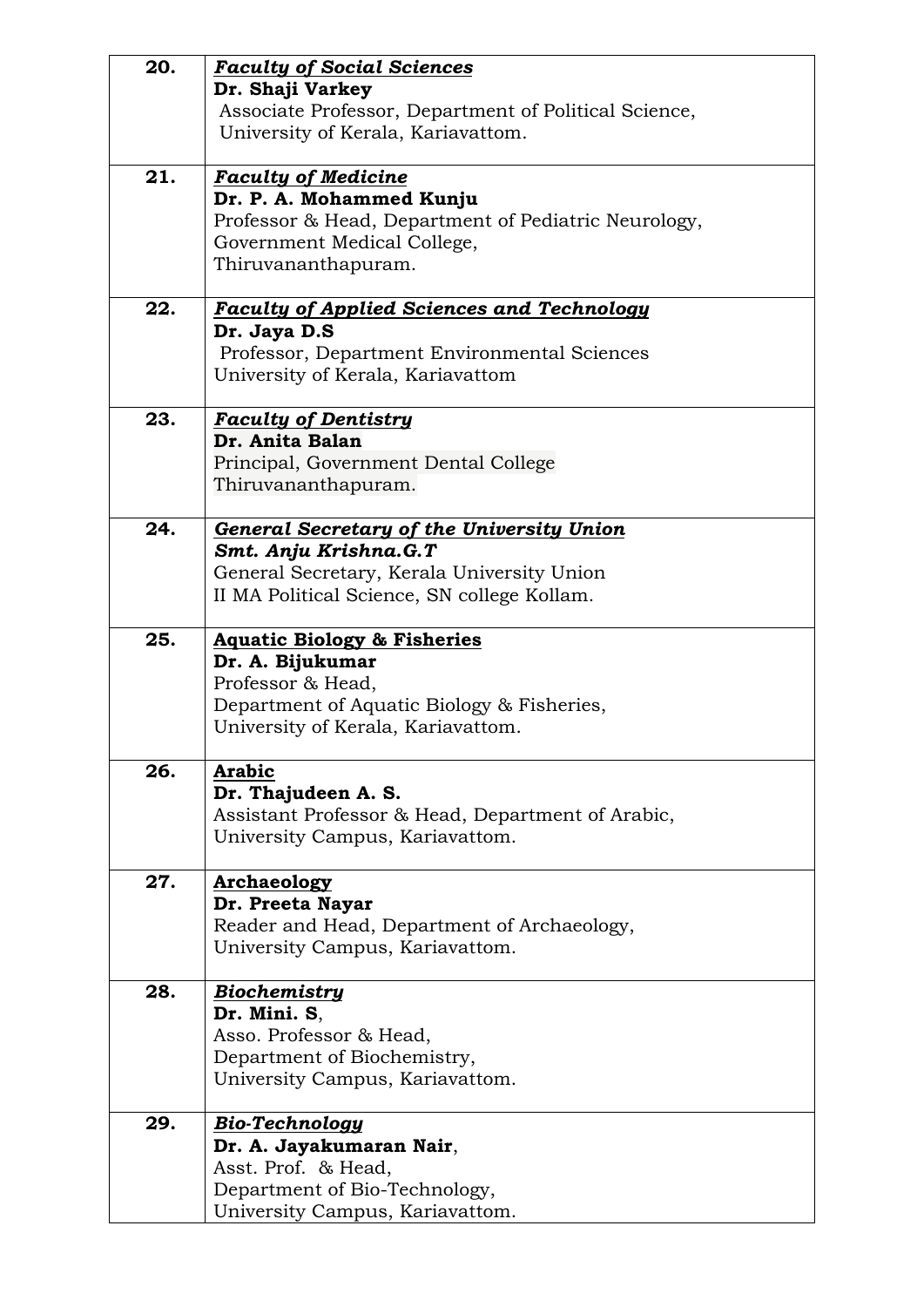| 20. | <b>Faculty of Social Sciences</b>                     |
|-----|-------------------------------------------------------|
|     | Dr. Shaji Varkey                                      |
|     | Associate Professor, Department of Political Science, |
|     | University of Kerala, Kariavattom.                    |
|     |                                                       |
| 21. | <b>Faculty of Medicine</b>                            |
|     | Dr. P. A. Mohammed Kunju                              |
|     | Professor & Head, Department of Pediatric Neurology,  |
|     | Government Medical College,                           |
|     | Thiruvananthapuram.                                   |
| 22. | <b>Faculty of Applied Sciences and Technology</b>     |
|     | Dr. Jaya D.S                                          |
|     | Professor, Department Environmental Sciences          |
|     | University of Kerala, Kariavattom                     |
|     |                                                       |
| 23. | <b>Faculty of Dentistry</b>                           |
|     | Dr. Anita Balan                                       |
|     | Principal, Government Dental College                  |
|     | Thiruvananthapuram.                                   |
|     |                                                       |
| 24. | <b>General Secretary of the University Union</b>      |
|     | Smt. Anju Krishna.G.T                                 |
|     | General Secretary, Kerala University Union            |
|     | II MA Political Science, SN college Kollam.           |
| 25. |                                                       |
|     | <b>Aquatic Biology &amp; Fisheries</b>                |
|     | Dr. A. Bijukumar<br>Professor & Head,                 |
|     | Department of Aquatic Biology & Fisheries,            |
|     | University of Kerala, Kariavattom.                    |
|     |                                                       |
| 26. | <b>Arabic</b>                                         |
|     | Dr. Thajudeen A. S.                                   |
|     | Assistant Professor & Head, Department of Arabic,     |
|     | University Campus, Kariavattom.                       |
|     |                                                       |
| 27. | Archaeology                                           |
|     | Dr. Preeta Nayar                                      |
|     | Reader and Head, Department of Archaeology,           |
|     | University Campus, Kariavattom.                       |
| 28. | <b>Biochemistry</b>                                   |
|     | Dr. Mini. S,                                          |
|     | Asso. Professor & Head,                               |
|     | Department of Biochemistry,                           |
|     | University Campus, Kariavattom.                       |
|     |                                                       |
| 29. | <b>Bio-Technology</b>                                 |
|     | Dr. A. Jayakumaran Nair,                              |
|     | Asst. Prof. & Head,                                   |
|     | Department of Bio-Technology,                         |
|     | University Campus, Kariavattom.                       |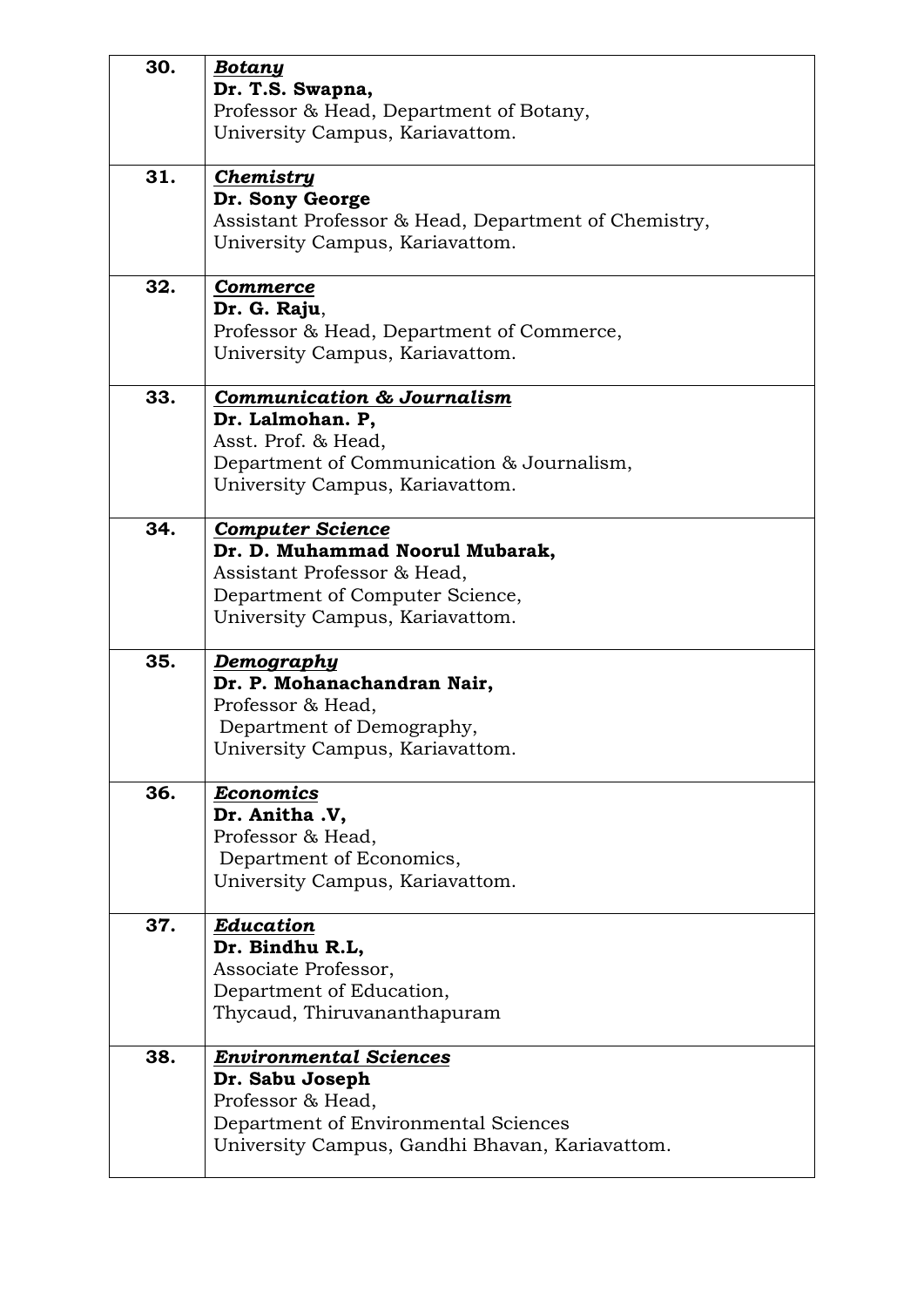| 30. | <b>Botany</b><br>Dr. T.S. Swapna,<br>Professor & Head, Department of Botany,<br>University Campus, Kariavattom.                                                  |
|-----|------------------------------------------------------------------------------------------------------------------------------------------------------------------|
| 31. | <b>Chemistry</b><br>Dr. Sony George<br>Assistant Professor & Head, Department of Chemistry,<br>University Campus, Kariavattom.                                   |
| 32. | <b>Commerce</b><br>Dr. G. Raju,<br>Professor & Head, Department of Commerce,<br>University Campus, Kariavattom.                                                  |
| 33. | <b>Communication &amp; Journalism</b><br>Dr. Lalmohan. P,<br>Asst. Prof. & Head,<br>Department of Communication & Journalism,<br>University Campus, Kariavattom. |
| 34. | <b>Computer Science</b><br>Dr. D. Muhammad Noorul Mubarak,<br>Assistant Professor & Head,<br>Department of Computer Science,<br>University Campus, Kariavattom.  |
| 35. | <u>Demography</u><br>Dr. P. Mohanachandran Nair,<br>Professor & Head,<br>Department of Demography,<br>University Campus, Kariavattom.                            |
| 36. | <b>Economics</b><br>Dr. Anitha .V,<br>Professor & Head,<br>Department of Economics,<br>University Campus, Kariavattom.                                           |
| 37. | Education<br>Dr. Bindhu R.L,<br>Associate Professor,<br>Department of Education,<br>Thycaud, Thiruvananthapuram                                                  |
| 38. | <b>Environmental Sciences</b><br>Dr. Sabu Joseph<br>Professor & Head,<br>Department of Environmental Sciences<br>University Campus, Gandhi Bhavan, Kariavattom.  |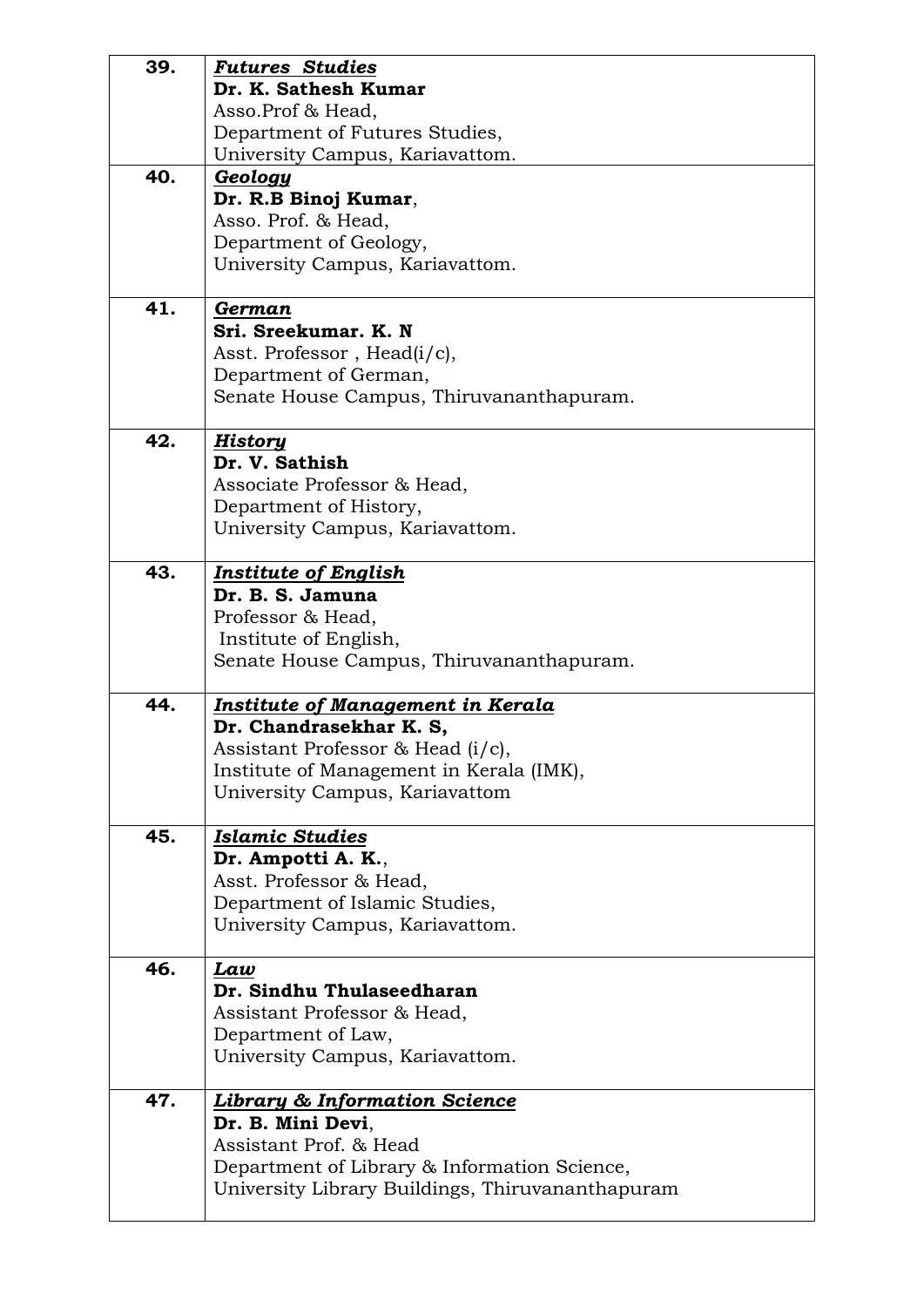| 39. | <b>Futures Studies</b>                                                                           |
|-----|--------------------------------------------------------------------------------------------------|
|     | Dr. K. Sathesh Kumar                                                                             |
|     | Asso.Prof & Head,                                                                                |
|     | Department of Futures Studies,                                                                   |
|     | University Campus, Kariavattom.                                                                  |
| 40. | Geology                                                                                          |
|     | Dr. R.B Binoj Kumar,                                                                             |
|     | Asso. Prof. & Head,                                                                              |
|     | Department of Geology,                                                                           |
|     | University Campus, Kariavattom.                                                                  |
|     |                                                                                                  |
| 41. | German                                                                                           |
|     | Sri. Sreekumar. K. N                                                                             |
|     | Asst. Professor, Head(i/c),                                                                      |
|     | Department of German,                                                                            |
|     | Senate House Campus, Thiruvananthapuram.                                                         |
|     |                                                                                                  |
| 42. | <b>History</b>                                                                                   |
|     | Dr. V. Sathish                                                                                   |
|     | Associate Professor & Head,                                                                      |
|     | Department of History,                                                                           |
|     | University Campus, Kariavattom.                                                                  |
|     |                                                                                                  |
| 43. | <b>Institute of English</b>                                                                      |
|     | Dr. B. S. Jamuna                                                                                 |
|     | Professor & Head,                                                                                |
|     | Institute of English,                                                                            |
|     |                                                                                                  |
|     |                                                                                                  |
|     | Senate House Campus, Thiruvananthapuram.                                                         |
| 44. | <b>Institute of Management in Kerala</b>                                                         |
|     | Dr. Chandrasekhar K. S,                                                                          |
|     |                                                                                                  |
|     | Assistant Professor & Head (i/c),                                                                |
|     | Institute of Management in Kerala (IMK),                                                         |
|     | University Campus, Kariavattom                                                                   |
| 45. | <b>Islamic Studies</b>                                                                           |
|     | Dr. Ampotti A. K.,                                                                               |
|     | Asst. Professor & Head,                                                                          |
|     | Department of Islamic Studies,                                                                   |
|     | University Campus, Kariavattom.                                                                  |
|     |                                                                                                  |
| 46. | Law                                                                                              |
|     | Dr. Sindhu Thulaseedharan                                                                        |
|     | Assistant Professor & Head,                                                                      |
|     | Department of Law,                                                                               |
|     | University Campus, Kariavattom.                                                                  |
|     |                                                                                                  |
| 47. | <b>Library &amp; Information Science</b>                                                         |
|     | Dr. B. Mini Devi,                                                                                |
|     | Assistant Prof. & Head                                                                           |
|     | Department of Library & Information Science,<br>University Library Buildings, Thiruvananthapuram |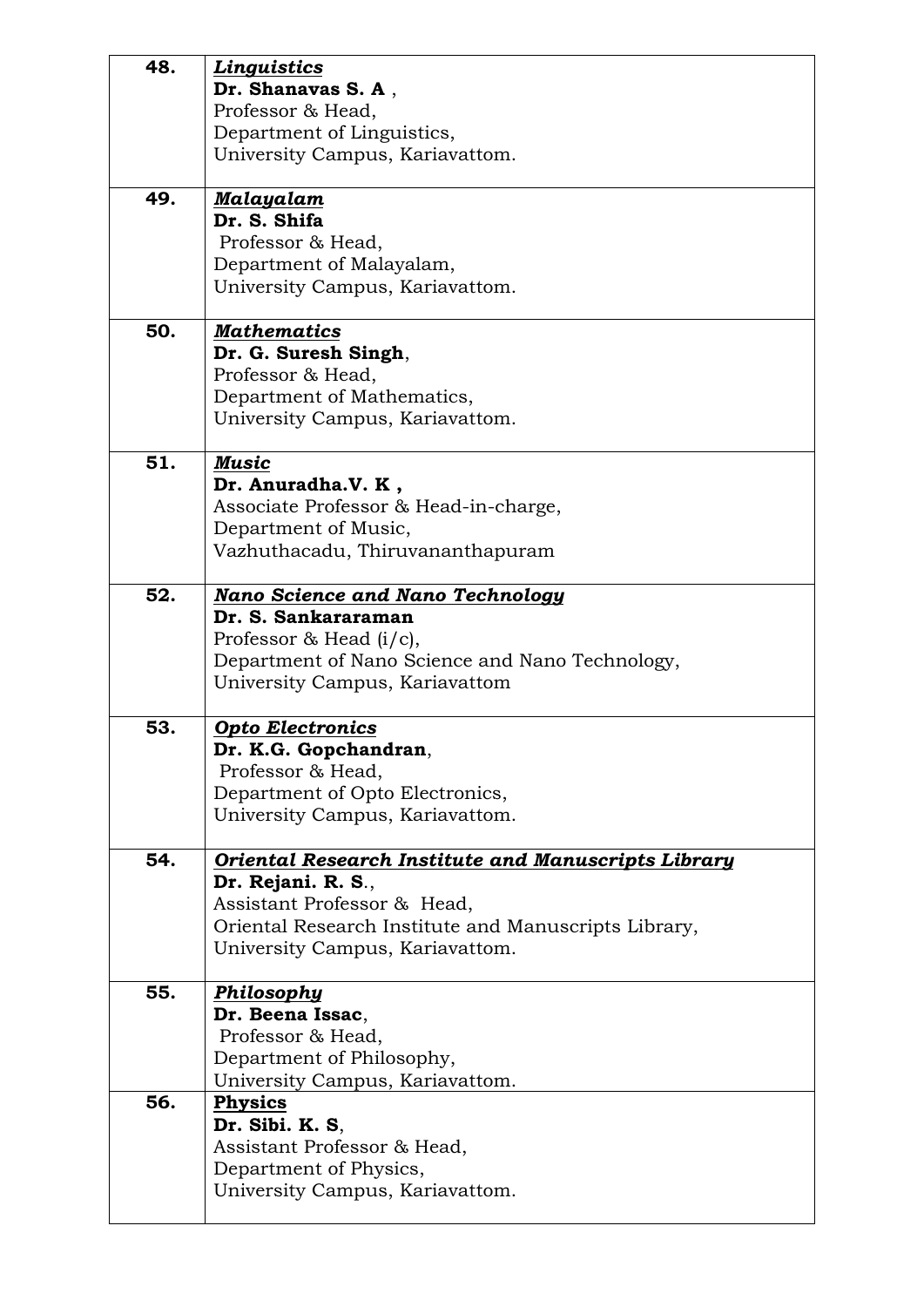| 48. | <b>Linguistics</b><br>Dr. Shanavas S.A.<br>Professor & Head,<br>Department of Linguistics,<br>University Campus, Kariavattom.                                                                       |
|-----|-----------------------------------------------------------------------------------------------------------------------------------------------------------------------------------------------------|
| 49. | <u>Malayalam</u><br>Dr. S. Shifa<br>Professor & Head,<br>Department of Malayalam,<br>University Campus, Kariavattom.                                                                                |
| 50. | <b>Mathematics</b><br>Dr. G. Suresh Singh,<br>Professor & Head,<br>Department of Mathematics,<br>University Campus, Kariavattom.                                                                    |
| 51. | <b>Music</b><br>Dr. Anuradha.V. K,<br>Associate Professor & Head-in-charge,<br>Department of Music,<br>Vazhuthacadu, Thiruvananthapuram                                                             |
| 52. | <b>Nano Science and Nano Technology</b><br>Dr. S. Sankararaman<br>Professor & Head $(i/c)$ ,<br>Department of Nano Science and Nano Technology,<br>University Campus, Kariavattom                   |
| 53. | <b>Opto Electronics</b><br>Dr. K.G. Gopchandran,<br>Professor & Head,<br>Department of Opto Electronics,<br>University Campus, Kariavattom.                                                         |
| 54. | Oriental Research Institute and Manuscripts Library<br>Dr. Rejani. R. S.,<br>Assistant Professor & Head,<br>Oriental Research Institute and Manuscripts Library,<br>University Campus, Kariavattom. |
| 55. | <b>Philosophy</b><br>Dr. Beena Issac,<br>Professor & Head,<br>Department of Philosophy,<br>University Campus, Kariavattom.                                                                          |
| 56. | <b>Physics</b><br>Dr. Sibi. K. S.<br>Assistant Professor & Head,<br>Department of Physics,<br>University Campus, Kariavattom.                                                                       |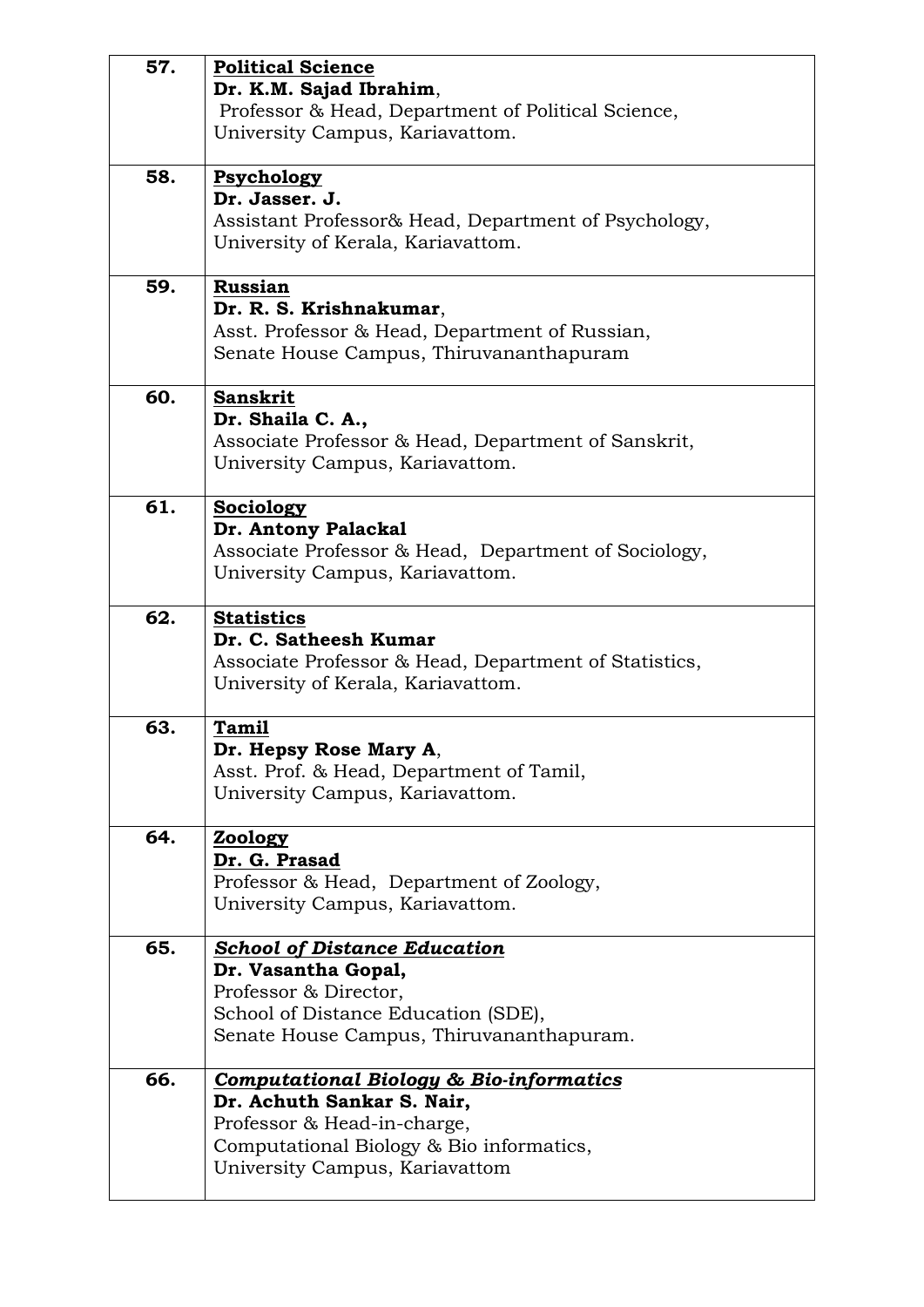| 57. | <b>Political Science</b>                                  |
|-----|-----------------------------------------------------------|
|     | Dr. K.M. Sajad Ibrahim,                                   |
|     | Professor & Head, Department of Political Science,        |
|     | University Campus, Kariavattom.                           |
| 58. | Psychology                                                |
|     | Dr. Jasser. J.                                            |
|     | Assistant Professor& Head, Department of Psychology,      |
|     | University of Kerala, Kariavattom.                        |
| 59. | <b>Russian</b>                                            |
|     | Dr. R. S. Krishnakumar,                                   |
|     | Asst. Professor & Head, Department of Russian,            |
|     | Senate House Campus, Thiruvananthapuram                   |
| 60. | <b>Sanskrit</b>                                           |
|     | Dr. Shaila C. A.,                                         |
|     | Associate Professor & Head, Department of Sanskrit,       |
|     | University Campus, Kariavattom.                           |
| 61. | Sociology                                                 |
|     | Dr. Antony Palackal                                       |
|     | Associate Professor & Head, Department of Sociology,      |
|     | University Campus, Kariavattom.                           |
| 62. | <b>Statistics</b>                                         |
|     | Dr. C. Satheesh Kumar                                     |
|     | Associate Professor & Head, Department of Statistics,     |
|     | University of Kerala, Kariavattom.                        |
| 63. | <b>Tamil</b>                                              |
|     | Dr. Hepsy Rose Mary A,                                    |
|     | Asst. Prof. & Head, Department of Tamil,                  |
|     | University Campus, Kariavattom.                           |
| 64. | <b>Zoology</b>                                            |
|     | Dr. G. Prasad<br>Professor & Head, Department of Zoology, |
|     | University Campus, Kariavattom.                           |
|     |                                                           |
| 65. | <b>School of Distance Education</b>                       |
|     | Dr. Vasantha Gopal,                                       |
|     | Professor & Director,                                     |
|     | School of Distance Education (SDE),                       |
|     | Senate House Campus, Thiruvananthapuram.                  |
| 66. | <b>Computational Biology &amp; Bio-informatics</b>        |
|     | Dr. Achuth Sankar S. Nair,                                |
|     | Professor & Head-in-charge,                               |
|     | Computational Biology & Bio informatics,                  |
|     | University Campus, Kariavattom                            |
|     |                                                           |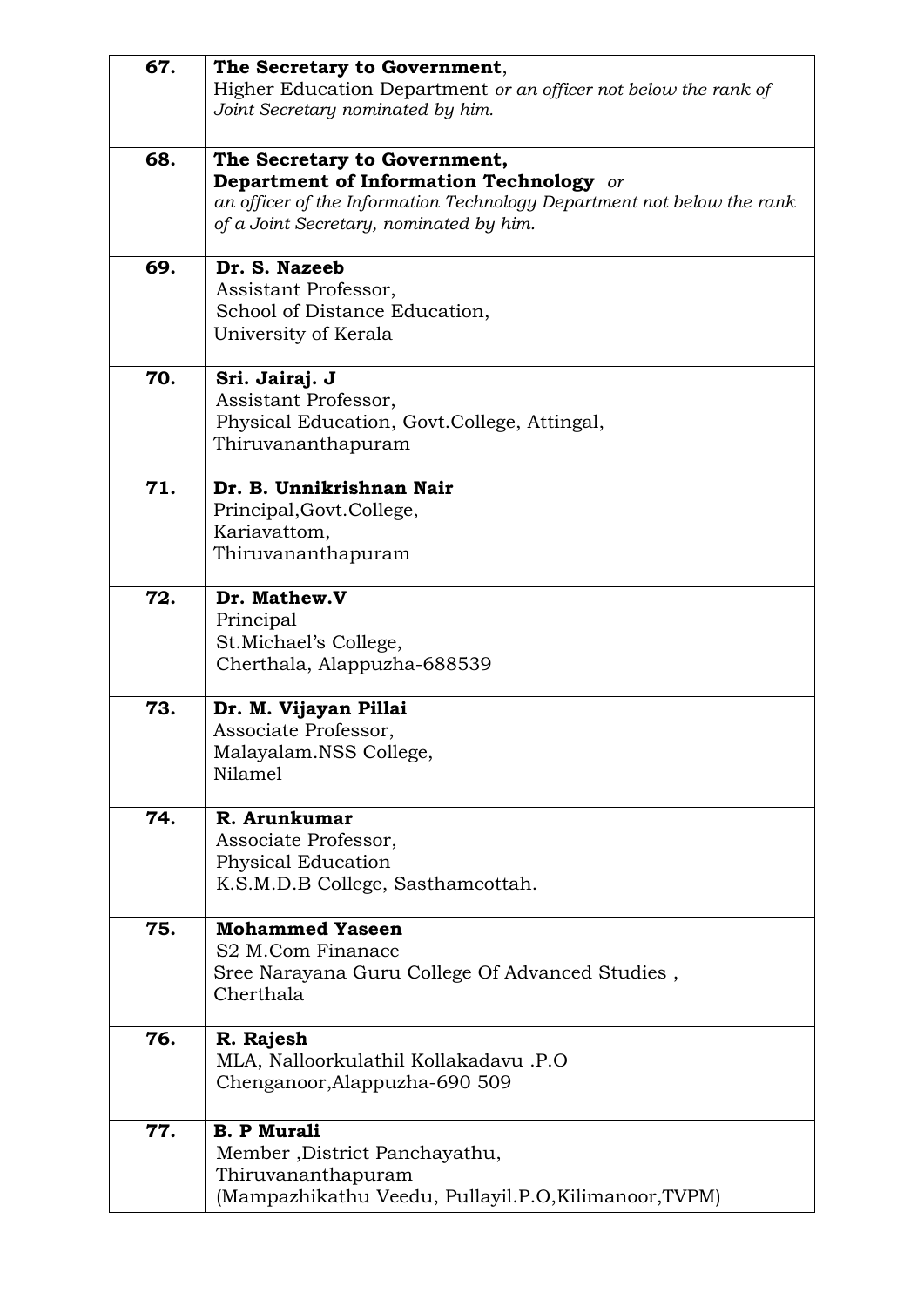| 67. | The Secretary to Government,<br>Higher Education Department or an officer not below the rank of<br>Joint Secretary nominated by him.                                                                |
|-----|-----------------------------------------------------------------------------------------------------------------------------------------------------------------------------------------------------|
| 68. | The Secretary to Government,<br><b>Department of Information Technology</b> or<br>an officer of the Information Technology Department not below the rank<br>of a Joint Secretary, nominated by him. |
| 69. | Dr. S. Nazeeb<br>Assistant Professor,<br>School of Distance Education,<br>University of Kerala                                                                                                      |
| 70. | Sri. Jairaj. J<br>Assistant Professor,<br>Physical Education, Govt.College, Attingal,<br>Thiruvananthapuram                                                                                         |
| 71. | Dr. B. Unnikrishnan Nair<br>Principal, Govt. College,<br>Kariavattom,<br>Thiruvananthapuram                                                                                                         |
| 72. | Dr. Mathew.V<br>Principal<br>St. Michael's College,<br>Cherthala, Alappuzha-688539                                                                                                                  |
| 73. | Dr. M. Vijayan Pillai<br>Associate Professor,<br>Malayalam.NSS College,<br>Nilamel                                                                                                                  |
| 74. | R. Arunkumar<br>Associate Professor,<br>Physical Education<br>K.S.M.D.B College, Sasthamcottah.                                                                                                     |
| 75. | <b>Mohammed Yaseen</b><br>S <sub>2</sub> M.Com Finanace<br>Sree Narayana Guru College Of Advanced Studies,<br>Cherthala                                                                             |
| 76. | R. Rajesh<br>MLA, Nalloorkulathil Kollakadavu .P.O<br>Chenganoor, Alappuzha-690 509                                                                                                                 |
| 77. | <b>B. P Murali</b><br>Member, District Panchayathu,<br>Thiruvananthapuram<br>(Mampazhikathu Veedu, Pullayil.P.O, Kilimanoor, TVPM)                                                                  |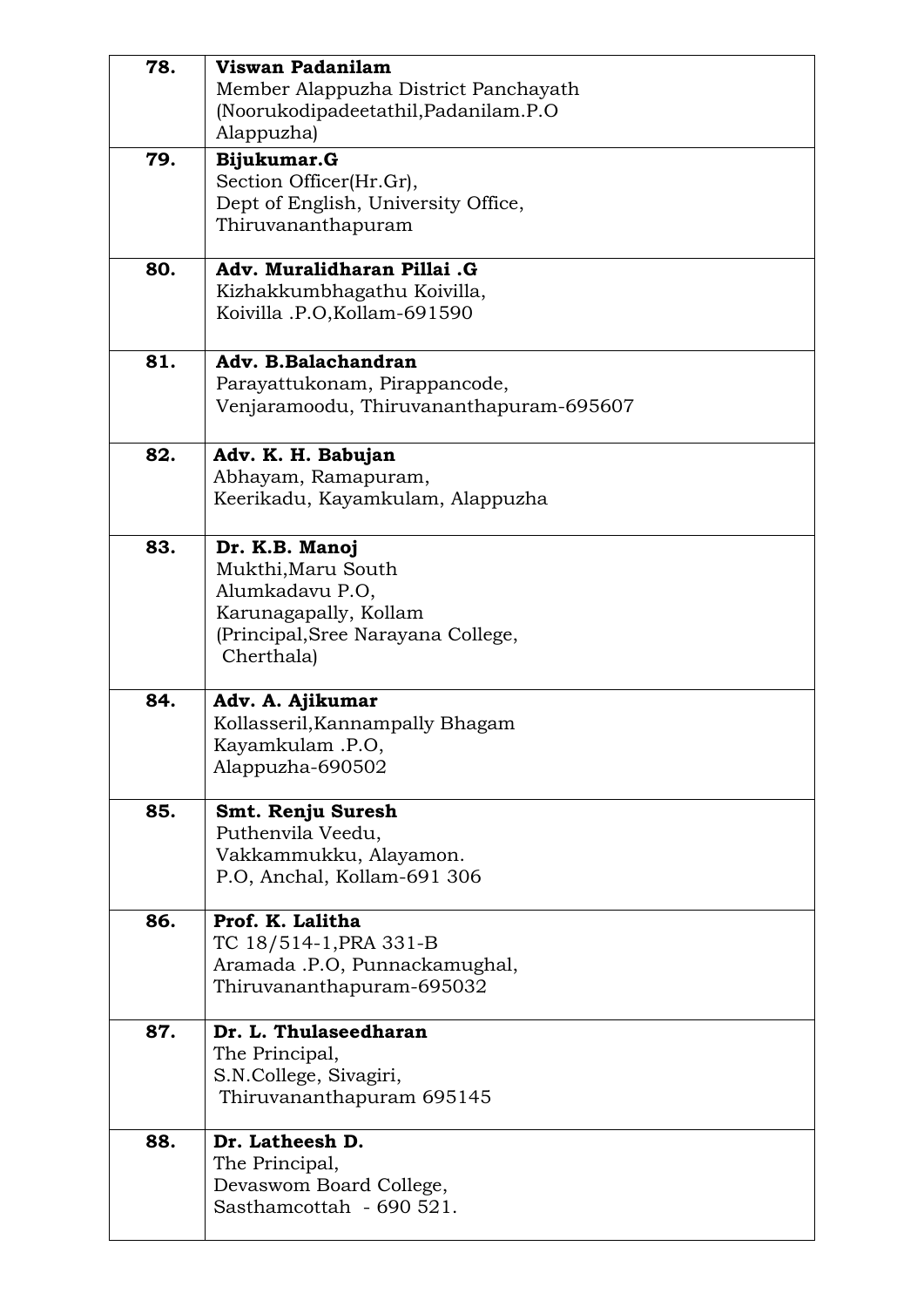| 78. | Viswan Padanilam<br>Member Alappuzha District Panchayath<br>(Noorukodipadeetathil, Padanilam.P.O<br>Alappuzha)                       |
|-----|--------------------------------------------------------------------------------------------------------------------------------------|
| 79. | Bijukumar.G<br>Section Officer(Hr.Gr),<br>Dept of English, University Office,<br>Thiruvananthapuram                                  |
| 80. | Adv. Muralidharan Pillai .G<br>Kizhakkumbhagathu Koivilla,<br>Koivilla .P.O, Kollam-691590                                           |
| 81. | Adv. B.Balachandran<br>Parayattukonam, Pirappancode,<br>Venjaramoodu, Thiruvananthapuram-695607                                      |
| 82. | Adv. K. H. Babujan<br>Abhayam, Ramapuram,<br>Keerikadu, Kayamkulam, Alappuzha                                                        |
| 83. | Dr. K.B. Manoj<br>Mukthi, Maru South<br>Alumkadavu P.O,<br>Karunagapally, Kollam<br>(Principal, Sree Narayana College,<br>Cherthala) |
| 84. | Adv. A. Ajikumar<br>Kollasseril, Kannampally Bhagam<br>Kayamkulam $.P.O$<br>Alappuzha-690502                                         |
| 85. | Smt. Renju Suresh<br>Puthenvila Veedu,<br>Vakkammukku, Alayamon.<br>P.O, Anchal, Kollam-691 306                                      |
| 86. | Prof. K. Lalitha<br>TC 18/514-1, PRA 331-B<br>Aramada .P.O, Punnackamughal,<br>Thiruvananthapuram-695032                             |
| 87. | Dr. L. Thulaseedharan<br>The Principal,<br>S.N.College, Sivagiri,<br>Thiruvananthapuram 695145                                       |
| 88. | Dr. Latheesh D.<br>The Principal,<br>Devaswom Board College,<br>Sasthamcottah - 690 521.                                             |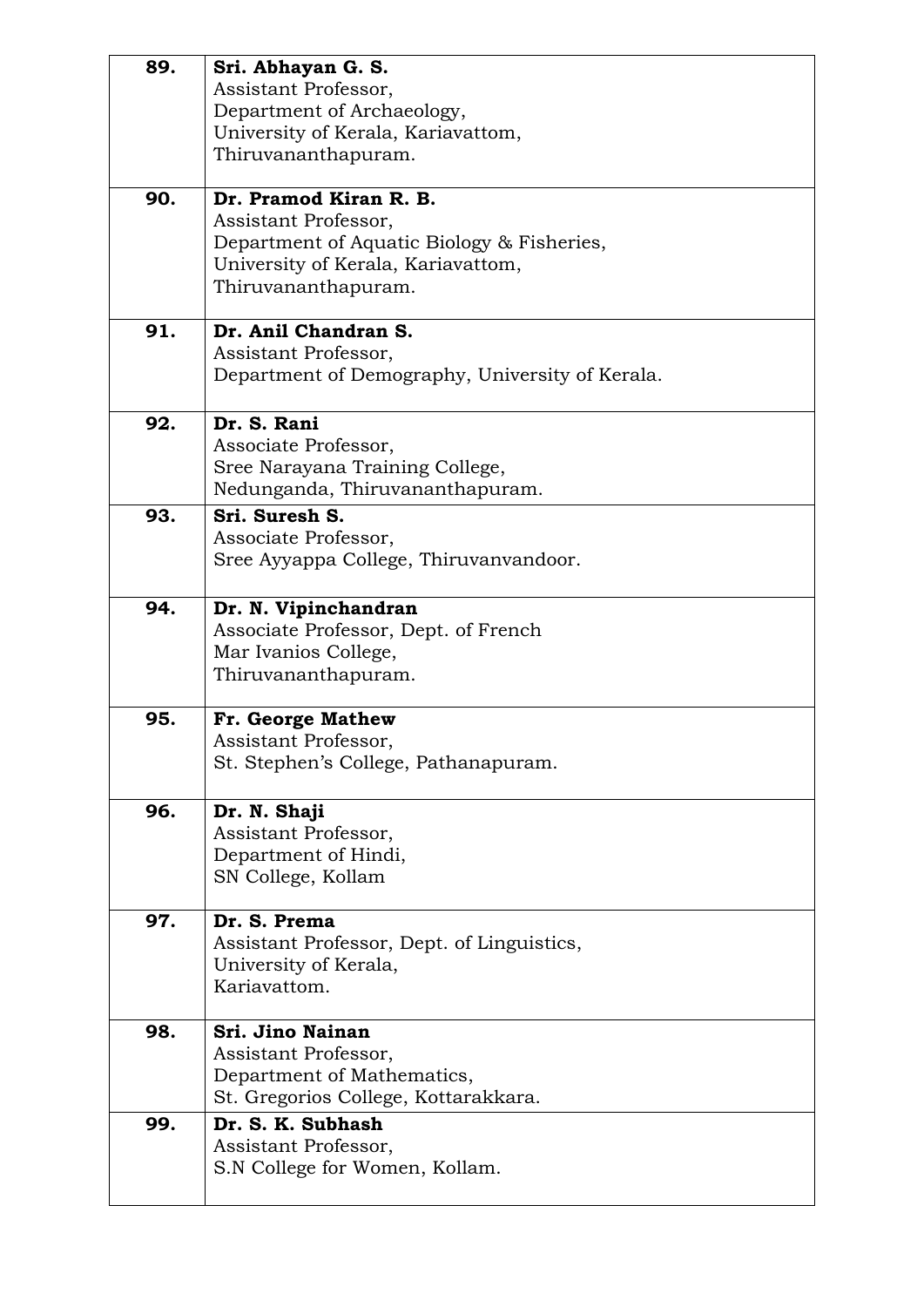| 89. | Sri. Abhayan G. S.<br>Assistant Professor,      |
|-----|-------------------------------------------------|
|     | Department of Archaeology,                      |
|     | University of Kerala, Kariavattom,              |
|     | Thiruvananthapuram.                             |
|     |                                                 |
| 90. | Dr. Pramod Kiran R. B.                          |
|     | Assistant Professor,                            |
|     | Department of Aquatic Biology & Fisheries,      |
|     | University of Kerala, Kariavattom,              |
|     | Thiruvananthapuram.                             |
| 91. | Dr. Anil Chandran S.                            |
|     | Assistant Professor,                            |
|     | Department of Demography, University of Kerala. |
| 92. | Dr. S. Rani                                     |
|     | Associate Professor,                            |
|     | Sree Narayana Training College,                 |
|     | Nedunganda, Thiruvananthapuram.                 |
| 93. | Sri. Suresh S.                                  |
|     | Associate Professor,                            |
|     | Sree Ayyappa College, Thiruvanvandoor.          |
| 94. | Dr. N. Vipinchandran                            |
|     | Associate Professor, Dept. of French            |
|     | Mar Ivanios College,                            |
|     | Thiruvananthapuram.                             |
| 95. | Fr. George Mathew                               |
|     | Assistant Professor,                            |
|     | St. Stephen's College, Pathanapuram.            |
| 96. | Dr. N. Shaji                                    |
|     | Assistant Professor,                            |
|     | Department of Hindi,                            |
|     | SN College, Kollam                              |
| 97. | Dr. S. Prema                                    |
|     | Assistant Professor, Dept. of Linguistics,      |
|     | University of Kerala,                           |
|     | Kariavattom.                                    |
| 98. | Sri. Jino Nainan                                |
|     | Assistant Professor,                            |
|     | Department of Mathematics,                      |
|     | St. Gregorios College, Kottarakkara.            |
| 99. | Dr. S. K. Subhash                               |
|     | Assistant Professor,                            |
|     | S.N College for Women, Kollam.                  |
|     |                                                 |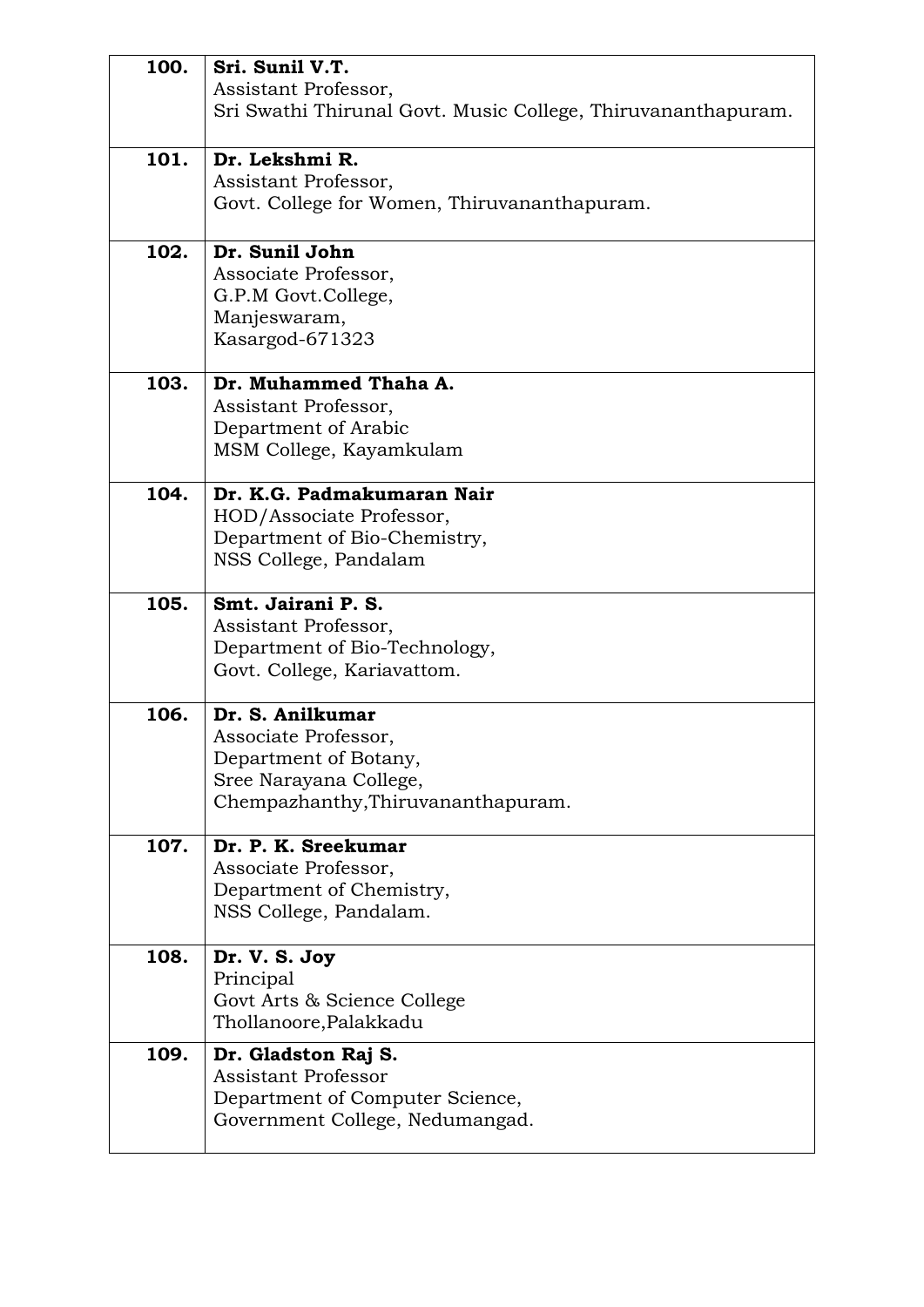| 100. | Sri. Sunil V.T.                                              |
|------|--------------------------------------------------------------|
|      | Assistant Professor,                                         |
|      | Sri Swathi Thirunal Govt. Music College, Thiruvananthapuram. |
|      |                                                              |
| 101. | Dr. Lekshmi R.                                               |
|      | Assistant Professor,                                         |
|      | Govt. College for Women, Thiruvananthapuram.                 |
|      |                                                              |
| 102. | Dr. Sunil John                                               |
|      | Associate Professor,                                         |
|      | G.P.M Govt.College,                                          |
|      | Manjeswaram,                                                 |
|      | Kasargod-671323                                              |
|      |                                                              |
| 103. | Dr. Muhammed Thaha A.                                        |
|      | Assistant Professor,                                         |
|      | Department of Arabic                                         |
|      | MSM College, Kayamkulam                                      |
| 104. | Dr. K.G. Padmakumaran Nair                                   |
|      | HOD/Associate Professor,                                     |
|      | Department of Bio-Chemistry,                                 |
|      | NSS College, Pandalam                                        |
|      |                                                              |
| 105. | Smt. Jairani P. S.                                           |
|      | Assistant Professor,                                         |
|      | Department of Bio-Technology,                                |
|      | Govt. College, Kariavattom.                                  |
| 106. | Dr. S. Anilkumar                                             |
|      | Associate Professor,                                         |
|      | Department of Botany,                                        |
|      | Sree Narayana College,                                       |
|      | Chempazhanthy, Thiruvananthapuram.                           |
|      |                                                              |
| 107. | Dr. P. K. Sreekumar                                          |
|      | Associate Professor,                                         |
|      | Department of Chemistry,                                     |
|      | NSS College, Pandalam.                                       |
| 108. | Dr. V. S. Joy                                                |
|      | Principal                                                    |
|      | Govt Arts & Science College                                  |
|      | Thollanoore, Palakkadu                                       |
| 109. | Dr. Gladston Raj S.                                          |
|      | <b>Assistant Professor</b>                                   |
|      | Department of Computer Science,                              |
|      | Government College, Nedumangad.                              |
|      |                                                              |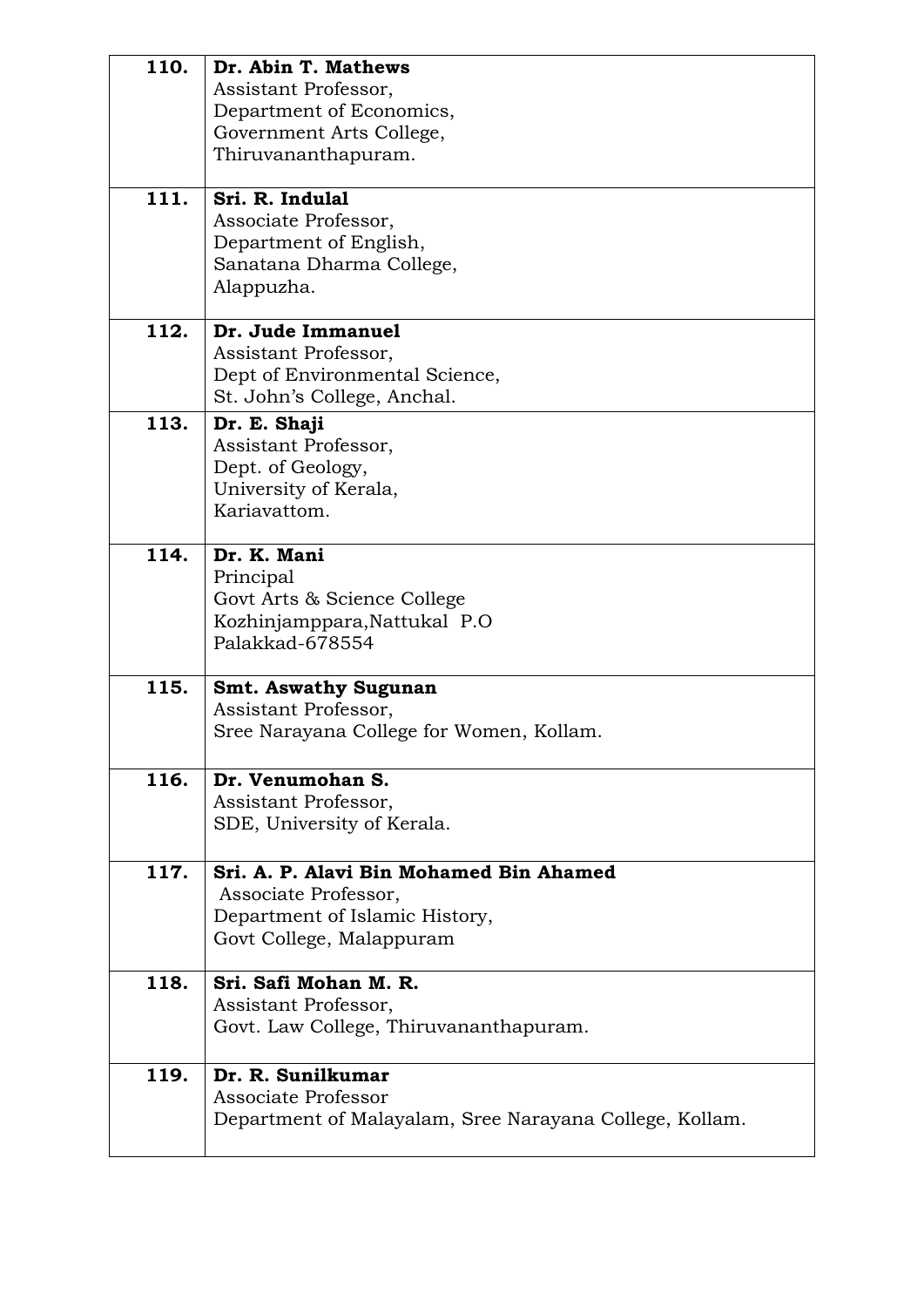| 110.<br>111. | Dr. Abin T. Mathews<br>Assistant Professor,<br>Department of Economics,<br>Government Arts College,<br>Thiruvananthapuram.<br>Sri. R. Indulal |
|--------------|-----------------------------------------------------------------------------------------------------------------------------------------------|
|              | Associate Professor,<br>Department of English,<br>Sanatana Dharma College,<br>Alappuzha.                                                      |
| 112.         | Dr. Jude Immanuel<br>Assistant Professor,<br>Dept of Environmental Science,<br>St. John's College, Anchal.                                    |
| 113.         | Dr. E. Shaji<br>Assistant Professor,<br>Dept. of Geology,<br>University of Kerala,<br>Kariavattom.                                            |
| 114.         | Dr. K. Mani<br>Principal<br>Govt Arts & Science College<br>Kozhinjamppara, Nattukal P.O<br>Palakkad-678554                                    |
| 115.         | <b>Smt. Aswathy Sugunan</b><br>Assistant Professor,<br>Sree Narayana College for Women, Kollam.                                               |
| 116.         | Dr. Venumohan S.<br>Assistant Professor,<br>SDE, University of Kerala.                                                                        |
| 117.         | Sri. A. P. Alavi Bin Mohamed Bin Ahamed<br>Associate Professor,<br>Department of Islamic History,<br>Govt College, Malappuram                 |
| 118.         | Sri. Safi Mohan M. R.<br>Assistant Professor,<br>Govt. Law College, Thiruvananthapuram.                                                       |
| 119.         | Dr. R. Sunilkumar<br>Associate Professor<br>Department of Malayalam, Sree Narayana College, Kollam.                                           |